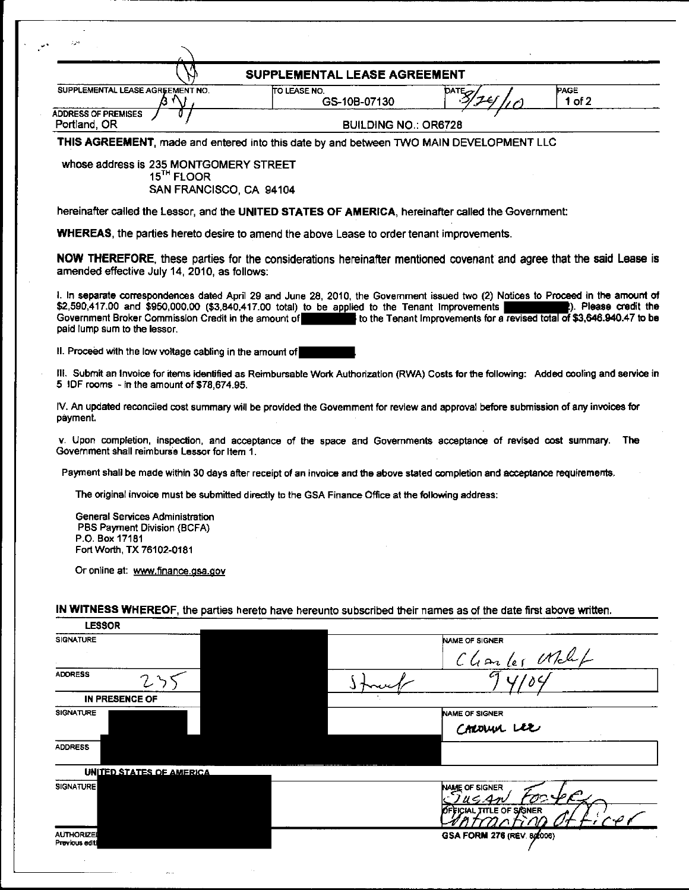| SUPPLEMENTAL LEASE AGREEMENT                                                                                                                                                                                                                                                                                                  |                                                                                                     |                                                                        |                       |
|-------------------------------------------------------------------------------------------------------------------------------------------------------------------------------------------------------------------------------------------------------------------------------------------------------------------------------|-----------------------------------------------------------------------------------------------------|------------------------------------------------------------------------|-----------------------|
| SUPPLEMENTAL LEASE AGREEMENT NO.                                                                                                                                                                                                                                                                                              | <b>TO LEASE NO.</b><br>GS-10B-07130                                                                 | <b>DATE<sub>C</sub></b>                                                | PAGE<br>$1$ of $2$    |
| <b>ADDRESS OF PREMISES</b>                                                                                                                                                                                                                                                                                                    |                                                                                                     |                                                                        |                       |
| Portland, OR<br>THIS AGREEMENT, made and entered into this date by and between TWO MAIN DEVELOPMENT LLC                                                                                                                                                                                                                       | <b>BUILDING NO.: OR6728</b>                                                                         |                                                                        |                       |
|                                                                                                                                                                                                                                                                                                                               |                                                                                                     |                                                                        |                       |
| whose address is 235 MONTGOMERY STREET<br>15 <sup>TH</sup> FLOOR<br>SAN FRANCISCO, CA 94104                                                                                                                                                                                                                                   |                                                                                                     |                                                                        |                       |
| hereinafter called the Lessor, and the UNITED STATES OF AMERICA, hereinafter called the Government:                                                                                                                                                                                                                           |                                                                                                     |                                                                        |                       |
| <b>WHEREAS</b> , the parties hereto desire to amend the above Lease to order tenant improvements.                                                                                                                                                                                                                             |                                                                                                     |                                                                        |                       |
| NOW THEREFORE, these parties for the considerations hereinafter mentioned covenant and agree that the said Lease is<br>amended effective July 14, 2010, as follows:                                                                                                                                                           |                                                                                                     |                                                                        |                       |
| 1. In separate correspondences dated April 29 and June 28, 2010, the Government issued two (2) Notices to Proceed in the amount of<br>\$2,590,417.00 and \$950,000.00 (\$3,840,417.00 total) to be applied to the Tenant Improvements<br>Government Broker Commission Credit in the amount of<br>paid lump sum to the lessor. |                                                                                                     | to the Tenant Improvements for a revised total of \$3,646.940.47 to be | 2). Please credit the |
| II. Proceed with the low voltage cabling in the amount of                                                                                                                                                                                                                                                                     |                                                                                                     |                                                                        |                       |
| III. Submit an Invoice for items identified as Reimbursable Work Authorization (RWA) Costs for the following: Added cooling and service in<br>5 IDF rooms - in the amount of \$78,674.95.                                                                                                                                     |                                                                                                     |                                                                        |                       |
| IV. An updated reconciled cost summary will be provided the Govemment for review and approval before submission of any invoices for<br>payment.                                                                                                                                                                               |                                                                                                     |                                                                        |                       |
| v. Upon completion, inspection, and acceptance of the space and Governments acceptance of revised cost summary. The<br>Government shall reimburse Lessor for Item 1.                                                                                                                                                          |                                                                                                     |                                                                        |                       |
| Payment shall be made within 30 days after receipt of an invoice and the above stated completion and acceptance requirements.                                                                                                                                                                                                 |                                                                                                     |                                                                        |                       |
|                                                                                                                                                                                                                                                                                                                               | The original invoice must be submitted directly to the GSA Finance Office at the following address: |                                                                        |                       |
| General Services Administration<br>PBS Payment Division (BCFA)<br>P.O. Box 17181<br>Fort Worth, TX 76102-0181                                                                                                                                                                                                                 |                                                                                                     |                                                                        |                       |
| Or online at: www.finance.gsa.gov                                                                                                                                                                                                                                                                                             |                                                                                                     |                                                                        |                       |
| IN WITNESS WHEREOF, the parties hereto have hereunto subscribed their names as of the date first above written.                                                                                                                                                                                                               |                                                                                                     |                                                                        |                       |
| <b>LESSOR</b><br><b>SIGNATURE</b>                                                                                                                                                                                                                                                                                             |                                                                                                     | NAME OF SIGNER                                                         |                       |
|                                                                                                                                                                                                                                                                                                                               |                                                                                                     | Charles What                                                           |                       |
|                                                                                                                                                                                                                                                                                                                               |                                                                                                     |                                                                        |                       |
| <b>ADDRESS</b>                                                                                                                                                                                                                                                                                                                |                                                                                                     |                                                                        |                       |
|                                                                                                                                                                                                                                                                                                                               |                                                                                                     |                                                                        |                       |
| <b>IN PRESENCE OF</b><br><b>SIGNATURE</b>                                                                                                                                                                                                                                                                                     |                                                                                                     | <b>NAME OF SIGNER</b>                                                  |                       |
|                                                                                                                                                                                                                                                                                                                               |                                                                                                     | CAROLUM LEE                                                            |                       |
|                                                                                                                                                                                                                                                                                                                               |                                                                                                     |                                                                        |                       |
| <b>ADDRESS</b><br>UNITED STATES OF AMERICA                                                                                                                                                                                                                                                                                    |                                                                                                     |                                                                        |                       |
| SIGNATURE                                                                                                                                                                                                                                                                                                                     |                                                                                                     | NAME OF SIGNER<br>U G An                                               |                       |
|                                                                                                                                                                                                                                                                                                                               |                                                                                                     | ICIAL ITTLE OF SJGNER                                                  |                       |

 $\hat{\mathcal{A}}$  ,

 $\frac{1}{2}$